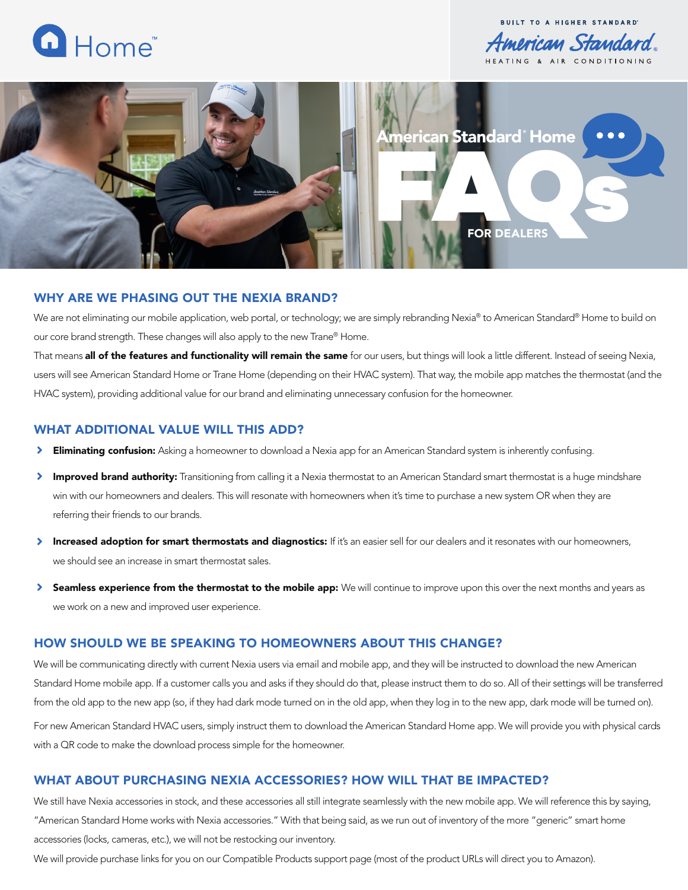

**BUILT TO A HIGHER STANDARD** American Standard.



## WHY ARE WE PHASING OUT THE NEXIA BRAND?

We are not eliminating our mobile application, web portal, or technology; we are simply rebranding Nexia® to American Standard® Home to build on our core brand strength. These changes will also apply to the new Trane® Home.

That means all of the features and functionality will remain the same for our users, but things will look a little different. Instead of seeing Nexia, users will see American Standard Home or Trane Home (depending on their HVAC system). That way, the mobile app matches the thermostat (and the HVAC system), providing additional value for our brand and eliminating unnecessary confusion for the homeowner.

### WHAT ADDITIONAL VALUE WILL THIS ADD?

- ≻ **Eliminating confusion:** Asking a homeowner to download a Nexia app for an American Standard system is inherently confusing.
- ≻ Improved brand authority: Transitioning from calling it a Nexia thermostat to an American Standard smart thermostat is a huge mindshare win with our homeowners and dealers. This will resonate with homeowners when it's time to purchase a new system OR when they are referring their friends to our brands.
- Increased adoption for smart thermostats and diagnostics: If it's an easier sell for our dealers and it resonates with our homeowners, we should see an increase in smart thermostat sales.
- $\blacktriangleright$ Seamless experience from the thermostat to the mobile app: We will continue to improve upon this over the next months and years as we work on a new and improved user experience.

## HOW SHOULD WE BE SPEAKING TO HOMEOWNERS ABOUT THIS CHANGE?

We will be communicating directly with current Nexia users via email and mobile app, and they will be instructed to download the new American Standard Home mobile app. If a customer calls you and asks if they should do that, please instruct them to do so. All of their settings will be transferred from the old app to the new app (so, if they had dark mode turned on in the old app, when they log in to the new app, dark mode will be turned on). For new American Standard HVAC users, simply instruct them to download the American Standard Home app. We will provide you with physical cards with a QR code to make the download process simple for the homeowner.

### WHAT ABOUT PURCHASING NEXIA ACCESSORIES? HOW WILL THAT BE IMPACTED?

We still have Nexia accessories in stock, and these accessories all still integrate seamlessly with the new mobile app. We will reference this by saying, "American Standard Home works with Nexia accessories." With that being said, as we run out of inventory of the more "generic" smart home accessories (locks, cameras, etc.), we will not be restocking our inventory.

We will provide purchase links for you on our Compatible Products support page (most of the product URLs will direct you to Amazon).